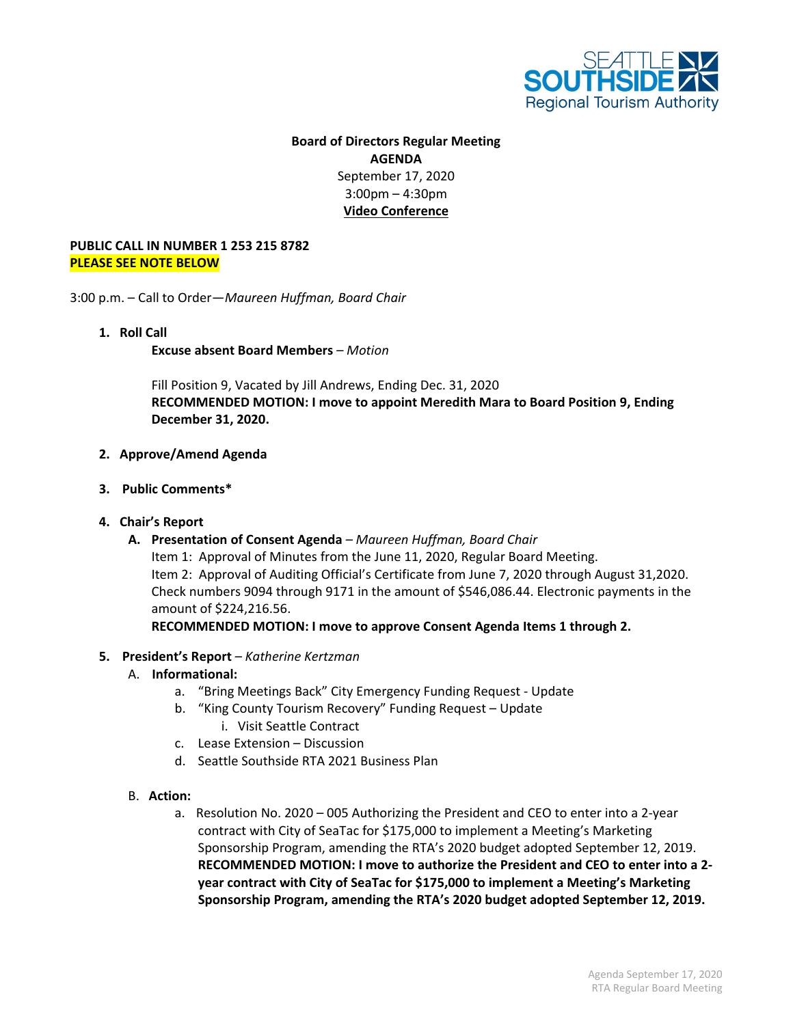

## **Board of Directors Regular Meeting AGENDA** September 17, 2020 3:00pm – 4:30pm **Video Conference**

## **PUBLIC CALL IN NUMBER 1 253 215 8782 PLEASE SEE NOTE BELOW**

3:00 p.m. – Call to Order—*Maureen Huffman, Board Chair*

**1. Roll Call**

**Excuse absent Board Members** *– Motion*

Fill Position 9, Vacated by Jill Andrews, Ending Dec. 31, 2020 **RECOMMENDED MOTION: I move to appoint Meredith Mara to Board Position 9, Ending December 31, 2020.**

- **2. Approve/Amend Agenda**
- **3. Public Comments\***
- **4. Chair's Report**
	- **A. Presentation of Consent Agenda** *– Maureen Huffman, Board Chair*

Item 1: Approval of Minutes from the June 11, 2020, Regular Board Meeting. Item 2: Approval of Auditing Official's Certificate from June 7, 2020 through August 31,2020. Check numbers 9094 through 9171 in the amount of \$546,086.44. Electronic payments in the amount of \$224,216.56.

**RECOMMENDED MOTION: I move to approve Consent Agenda Items 1 through 2.**

**5. President's Report** *– Katherine Kertzman* 

## A. **Informational:**

- a. "Bring Meetings Back" City Emergency Funding Request Update
- b. "King County Tourism Recovery" Funding Request Update i. Visit Seattle Contract
- c. Lease Extension Discussion
- d. Seattle Southside RTA 2021 Business Plan
- B. **Action:**
	- a. Resolution No. 2020 005 Authorizing the President and CEO to enter into a 2-year contract with City of SeaTac for \$175,000 to implement a Meeting's Marketing Sponsorship Program, amending the RTA's 2020 budget adopted September 12, 2019. **RECOMMENDED MOTION: I move to authorize the President and CEO to enter into a 2 year contract with City of SeaTac for \$175,000 to implement a Meeting's Marketing Sponsorship Program, amending the RTA's 2020 budget adopted September 12, 2019.**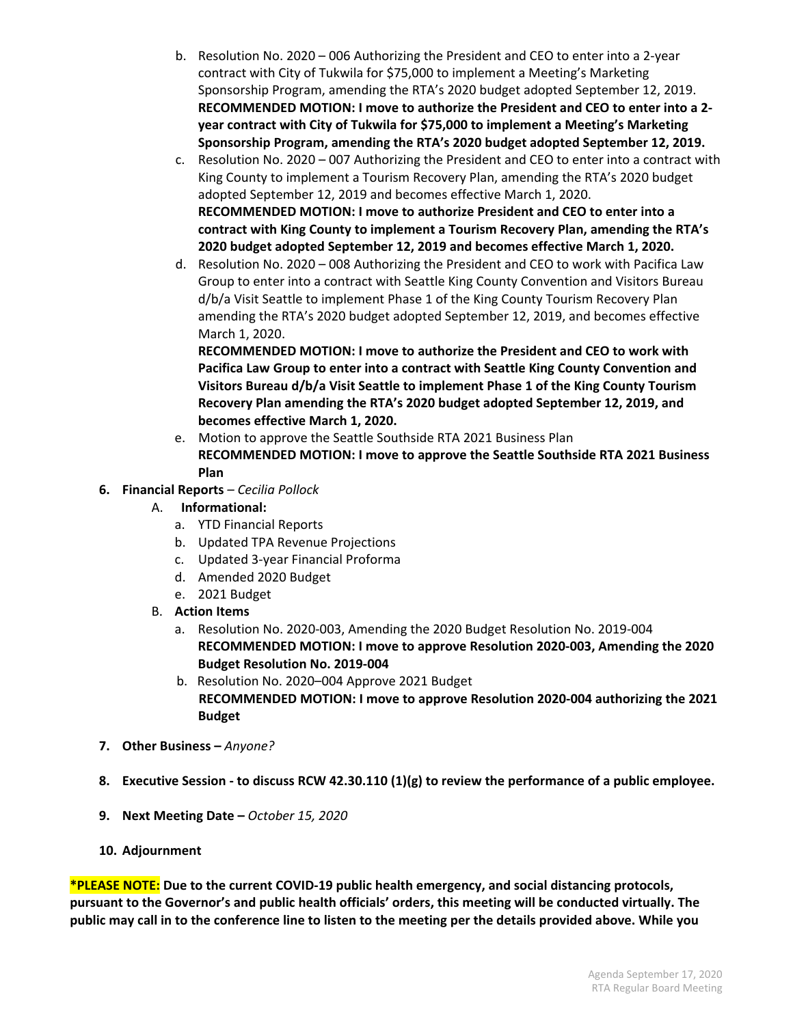- b. Resolution No. 2020 006 Authorizing the President and CEO to enter into a 2-year contract with City of Tukwila for \$75,000 to implement a Meeting's Marketing Sponsorship Program, amending the RTA's 2020 budget adopted September 12, 2019. **RECOMMENDED MOTION: I move to authorize the President and CEO to enter into a 2 year contract with City of Tukwila for \$75,000 to implement a Meeting's Marketing Sponsorship Program, amending the RTA's 2020 budget adopted September 12, 2019.**
- c. Resolution No. 2020 007 Authorizing the President and CEO to enter into a contract with King County to implement a Tourism Recovery Plan, amending the RTA's 2020 budget adopted September 12, 2019 and becomes effective March 1, 2020. **RECOMMENDED MOTION: I move to authorize President and CEO to enter into a contract with King County to implement a Tourism Recovery Plan, amending the RTA's 2020 budget adopted September 12, 2019 and becomes effective March 1, 2020.**
- d. Resolution No. 2020 008 Authorizing the President and CEO to work with Pacifica Law Group to enter into a contract with Seattle King County Convention and Visitors Bureau d/b/a Visit Seattle to implement Phase 1 of the King County Tourism Recovery Plan amending the RTA's 2020 budget adopted September 12, 2019, and becomes effective March 1, 2020.

**RECOMMENDED MOTION: I move to authorize the President and CEO to work with Pacifica Law Group to enter into a contract with Seattle King County Convention and Visitors Bureau d/b/a Visit Seattle to implement Phase 1 of the King County Tourism Recovery Plan amending the RTA's 2020 budget adopted September 12, 2019, and becomes effective March 1, 2020.**

- e. Motion to approve the Seattle Southside RTA 2021 Business Plan **RECOMMENDED MOTION: I move to approve the Seattle Southside RTA 2021 Business Plan**
- **6. Financial Reports** *– Cecilia Pollock*
	- A. **Informational:**
		- a. YTD Financial Reports
		- b. Updated TPA Revenue Projections
		- c. Updated 3-year Financial Proforma
		- d. Amended 2020 Budget
		- e. 2021 Budget
	- B. **Action Items**
		- a. Resolution No. 2020-003, Amending the 2020 Budget Resolution No. 2019-004 **RECOMMENDED MOTION: I move to approve Resolution 2020-003, Amending the 2020 Budget Resolution No. 2019-004**
		- b. Resolution No. 2020–004 Approve 2021 Budget  **RECOMMENDED MOTION: I move to approve Resolution 2020-004 authorizing the 2021 Budget**
- **7. Other Business –** *Anyone?*
- **8. Executive Session - to discuss RCW 42.30.110 (1)(g) to review the performance of a public employee.**
- **9. Next Meeting Date –** *October 15, 2020*
- **10. Adjournment**

**\*PLEASE NOTE: Due to the current COVID-19 public health emergency, and social distancing protocols, pursuant to the Governor's and public health officials' orders, this meeting will be conducted virtually. The public may call in to the conference line to listen to the meeting per the details provided above. While you**